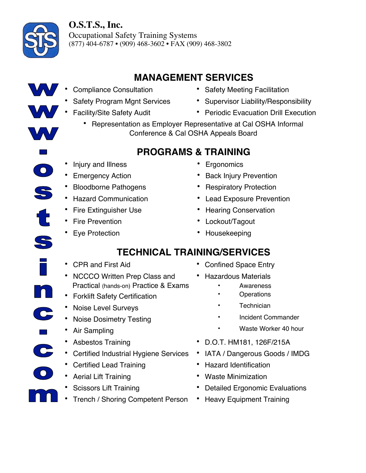

 $\bigcirc$ 

C

 $\mathbf{C}$ 

## **O.S.T.S., Inc.**

Occupational Safety Training Systems (877) 404-6787 • (909) 468-3602 • FAX (909) 468-3802

# **MANAGEMENT SERVICES**

- -
- 
- Compliance Consultation Safety Meeting Facilitation
- Safety Program Mgnt Services Supervisor Liability/Responsibility
	- Facility/Site Safety Audit Periodic Evacuation Drill Execution
		- Representation as Employer Representative at Cal OSHA Informal Conference & Cal OSHA Appeals Board

# **PROGRAMS & TRAINING**

- Injury and Illness **•** Ergonomics
- 
- Bloodborne Pathogens Respiratory Protection
- 
- 
- Fire Prevention Lockout/Tagout
- 
- 
- Emergency Action Back Injury Prevention
	-
- Hazard Communication Lead Exposure Prevention
	- Fire Extinguisher Use Hearing Conservation
		-
- Eye Protection Housekeeping

## **TECHNICAL TRAINING/SERVICES**

- 
- NCCCO Written Prep Class and Practical (hands-on) Practice & Exams
- Forklift Safety Certification **•** Operations
- Noise Level Surveys **•** Technician
- Noise Dosimetry Testing Incident Commander
- 
- 
- Certified Industrial Hygiene Services IATA / Dangerous Goods / IMDG
- Certified Lead Training Hazard Identification
- 
- 
- Trench / Shoring Competent Person Heavy Equipment Training
- CPR and First Aid **•** Confined Space Entry
	- Hazardous Materials
		- **Awareness**
		-
		-
		-
- Air Sampling  **Air Sampling Product All Accord •** Waste Worker 40 hour
- Asbestos Training D.O.T. HM181, 126F/215A
	-
	-
- Aerial Lift Training  **Waste Minimization** 
	- Scissors Lift Training Detailed Ergonomic Evaluations
		-